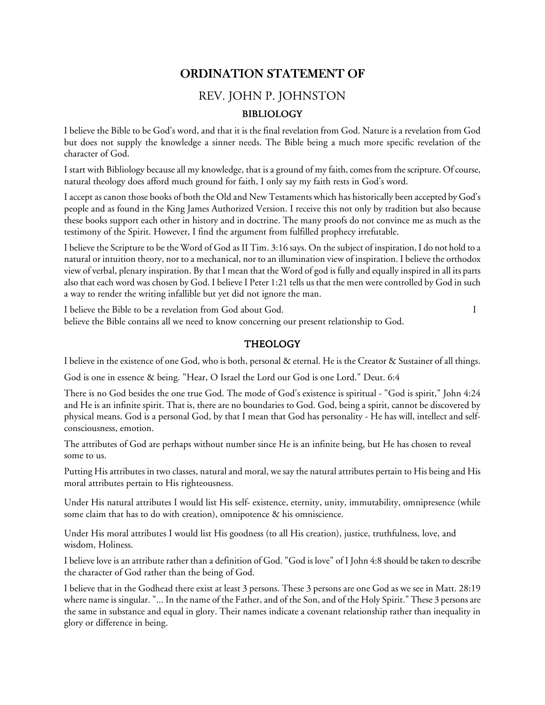# ORDINATION STATEMENT OF

# REV. JOHN P. JOHNSTON

## BIBLIOLOGY BIBLIOLOGY

I believe the Bible to be God's word, and that it is the final revelation from God. Nature is a revelation from God but does not supply the knowledge a sinner needs. The Bible being a much more specific revelation of the character of God.

I start with Bibliology because all my knowledge, that is a ground of my faith, comes from the scripture. Of course, natural theology does afford much ground for faith, I only say my faith rests in God's word.

I accept as canon those books of both the Old and New Testaments which has historically been accepted by God's people and as found in the King James Authorized Version. I receive this not only by tradition but also because these books support each other in history and in doctrine. The many proofs do not convince me as much as the testimony of the Spirit. However, I find the argument from fulfilled prophecy irrefutable.

I believe the Scripture to be the Word of God as II Tim. 3:16 says. On the subject of inspiration, I do not hold to a natural or intuition theory, nor to a mechanical, nor to an illumination view of inspiration. I believe the orthodox view of verbal, plenary inspiration. By that I mean that the Word of god is fully and equally inspired in all its parts also that each word was chosen by God. I believe I Peter 1:21 tells us that the men were controlled by God in such a way to render the writing infallible but yet did not ignore the man.

I believe the Bible to be a revelation from God about God. I believe the Bible contains all we need to know concerning our present relationship to God.

#### **THEOLOGY**

I believe in the existence of one God, who is both, personal & eternal. He is the Creator & Sustainer of all things.

God is one in essence & being. "Hear, O Israel the Lord our God is one Lord." Deut. 6:4

There is no God besides the one true God. The mode of God's existence is spiritual - "God is spirit," John 4:24 and He is an infinite spirit. That is, there are no boundaries to God. God, being a spirit, cannot be discovered by physical means. God is a personal God, by that I mean that God has personality - He has will, intellect and selfconsciousness, emotion.

The attributes of God are perhaps without number since He is an infinite being, but He has chosen to reveal some to us.

Putting His attributes in two classes, natural and moral, we say the natural attributes pertain to His being and His moral attributes pertain to His righteousness.

Under His natural attributes I would list His self- existence, eternity, unity, immutability, omnipresence (while some claim that has to do with creation), omnipotence & his omniscience.

Under His moral attributes I would list His goodness (to all His creation), justice, truthfulness, love, and wisdom, Holiness.

I believe love is an attribute rather than a definition of God. "God is love" of I John 4:8 should be taken to describe the character of God rather than the being of God.

I believe that in the Godhead there exist at least 3 persons. These 3 persons are one God as we see in Matt. 28:19 where name is singular. "... In the name of the Father, and of the Son, and of the Holy Spirit." These 3 persons are the same in substance and equal in glory. Their names indicate a covenant relationship rather than inequality in glory or difference in being.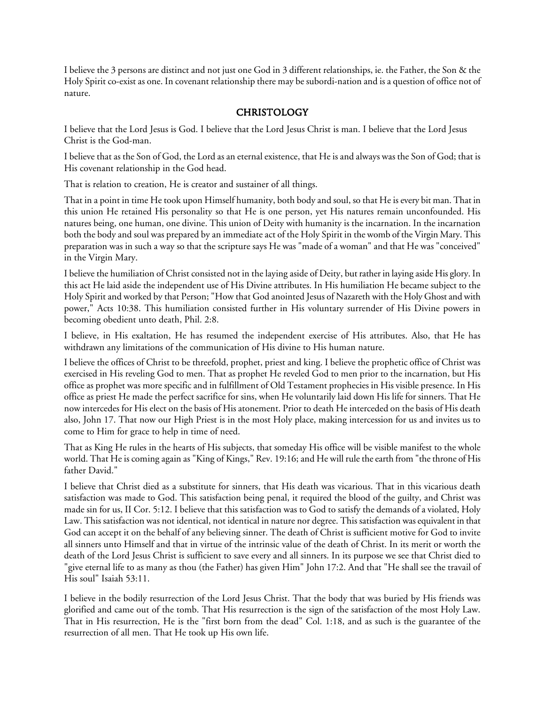I believe the 3 persons are distinct and not just one God in 3 different relationships, ie. the Father, the Son & the Holy Spirit co-exist as one. In covenant relationship there may be subordi-nation and is a question of office not of nature.

# **CHRISTOLOGY**

I believe that the Lord Jesus is God. I believe that the Lord Jesus Christ is man. I believe that the Lord Jesus Christ is the God-man.

I believe that as the Son of God, the Lord as an eternal existence, that He is and always was the Son of God; that is His covenant relationship in the God head.

That is relation to creation, He is creator and sustainer of all things.

That in a point in time He took upon Himself humanity, both body and soul, so that He is every bit man. That in this union He retained His personality so that He is one person, yet His natures remain unconfounded. His natures being, one human, one divine. This union of Deity with humanity is the incarnation. In the incarnation both the body and soul was prepared by an immediate act of the Holy Spirit in the womb of the Virgin Mary. This preparation was in such a way so that the scripture says He was "made of a woman" and that He was "conceived" in the Virgin Mary.

I believe the humiliation of Christ consisted not in the laying aside of Deity, but rather in laying aside His glory. In this act He laid aside the independent use of His Divine attributes. In His humiliation He became subject to the Holy Spirit and worked by that Person; "How that God anointed Jesus of Nazareth with the Holy Ghost and with power," Acts 10:38. This humiliation consisted further in His voluntary surrender of His Divine powers in becoming obedient unto death, Phil. 2:8.

I believe, in His exaltation, He has resumed the independent exercise of His attributes. Also, that He has withdrawn any limitations of the communication of His divine to His human nature.

I believe the offices of Christ to be threefold, prophet, priest and king. I believe the prophetic office of Christ was exercised in His reveling God to men. That as prophet He reveled God to men prior to the incarnation, but His office as prophet was more specific and in fulfillment of Old Testament prophecies in His visible presence. In His office as priest He made the perfect sacrifice for sins, when He voluntarily laid down His life for sinners. That He now intercedes for His elect on the basis of His atonement. Prior to death He interceded on the basis of His death also, John 17. That now our High Priest is in the most Holy place, making intercession for us and invites us to come to Him for grace to help in time of need.

That as King He rules in the hearts of His subjects, that someday His office will be visible manifest to the whole world. That He is coming again as "King of Kings," Rev. 19:16; and He will rule the earth from "the throne of His father David."

I believe that Christ died as a substitute for sinners, that His death was vicarious. That in this vicarious death satisfaction was made to God. This satisfaction being penal, it required the blood of the guilty, and Christ was made sin for us, II Cor. 5:12. I believe that this satisfaction was to God to satisfy the demands of a violated, Holy Law. This satisfaction was not identical, not identical in nature nor degree. This satisfaction was equivalent in that God can accept it on the behalf of any believing sinner. The death of Christ is sufficient motive for God to invite all sinners unto Himself and that in virtue of the intrinsic value of the death of Christ. In its merit or worth the death of the Lord Jesus Christ is sufficient to save every and all sinners. In its purpose we see that Christ died to "give eternal life to as many as thou (the Father) has given Him" John 17:2. And that "He shall see the travail of His soul" Isaiah 53:11.

I believe in the bodily resurrection of the Lord Jesus Christ. That the body that was buried by His friends was glorified and came out of the tomb. That His resurrection is the sign of the satisfaction of the most Holy Law. That in His resurrection, He is the "first born from the dead" Col. 1:18, and as such is the guarantee of the resurrection of all men. That He took up His own life.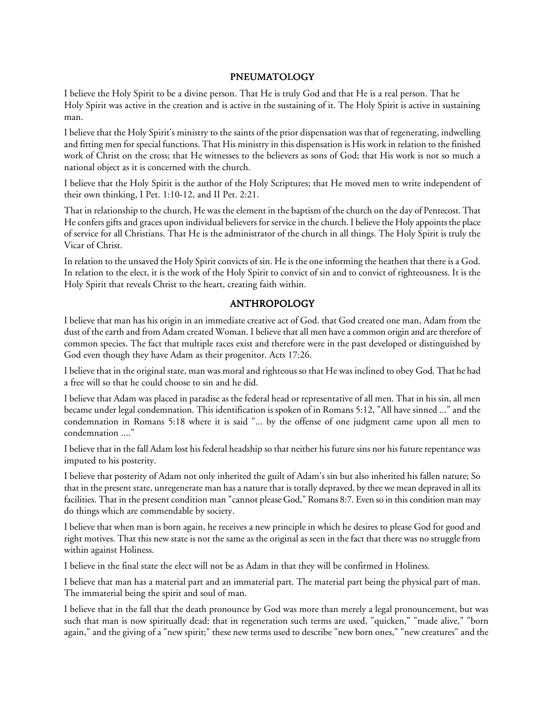#### PNEUMATOLOGY

I believe the Holy Spirit to be a divine person. That He is truly God and that He is a real person. That he Holy Spirit was active in the creation and is active in the sustaining of it. The Holy Spirit is active in sustaining man.

I believe that the Holy Spirit's ministry to the saints of the prior dispensation was that of regenerating, indwelling and fitting men for special functions. That His ministry in this dispensation is His work in relation to the finished work of Christ on the cross; that He witnesses to the believers as sons of God; that His work is not so much a national object as it is concerned with the church.

I believe that the Holy Spirit is the author of the Holy Scriptures; that He moved men to write independent of their own thinking, I Pet. 1:10-12, and II Pet. 2:21.

That in relationship to the church, He was the element in the baptism of the church on the day of Pentecost. That He confers gifts and graces upon individual believers for service in the church. I believe the Holy appoints the place of service for all Christians. That He is the administrator of the church in all things. The Holy Spirit is truly the Vicar of Christ.

In relation to the unsaved the Holy Spirit convicts of sin. He is the one informing the heathen that there is a God. In relation to the elect, it is the work of the Holy Spirit to convict of sin and to convict of righteousness. It is the Holy Spirit that reveals Christ to the heart, creating faith within.

### ANTHROPOLOGY

I believe that man has his origin in an immediate creative act of God. that God created one man, Adam from the dust of the earth and from Adam created Woman. I believe that all men have a common origin and are therefore of common species. The fact that multiple races exist and therefore were in the past developed or distinguished by God even though they have Adam as their progenitor. Acts 17:26.

I believe that in the original state, man was moral and righteous so that He was inclined to obey God. That he had a free will so that he could choose to sin and he did.

I believe that Adam was placed in paradise as the federal head or representative of all men. That in his sin, all men became under legal condemnation. This identification is spoken of in Romans 5:12, "All have sinned ..." and the condemnation in Romans 5:18 where it is said "... by the offense of one judgment came upon all men to condemnation ...."

I believe that in the fall Adam lost his federal headship so that neither his future sins nor his future repentance was imputed to his posterity.

I believe that posterity of Adam not only inherited the guilt of Adam's sin but also inherited his fallen nature; So that in the present state, unregenerate man has a nature that is totally depraved, by thee we mean depraved in all its facilities. That in the present condition man "cannot please God," Romans 8:7. Even so in this condition man may do things which are commendable by society.

I believe that when man is born again, he receives a new principle in which he desires to please God for good and right motives. That this new state is not the same as the original as seen in the fact that there was no struggle from within against Holiness.

I believe in the final state the elect will not be as Adam in that they will be confirmed in Holiness.

I believe that man has a material part and an immaterial part. The material part being the physical part of man. The immaterial being the spirit and soul of man.

I believe that in the fall that the death pronounce by God was more than merely a legal pronouncement, but was such that man is now spiritually dead: that in regeneration such terms are used, "quicken," "made alive," "born again," and the giving of a "new spirit;" these new terms used to describe "new born ones," "new creatures" and the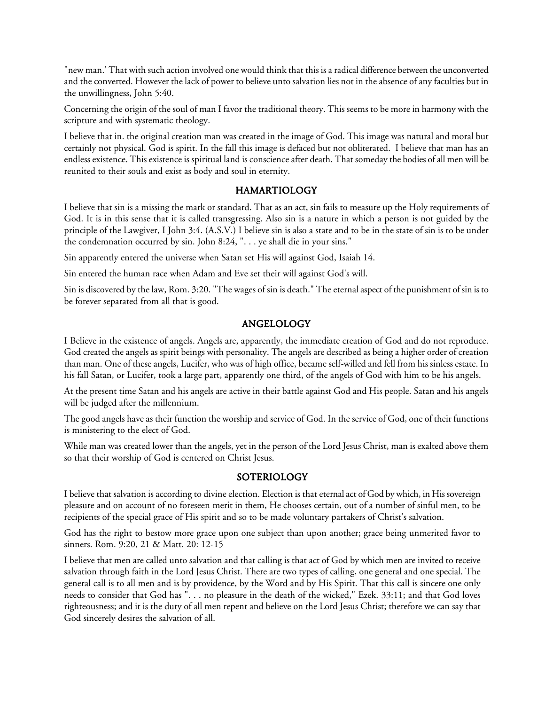"new man.' That with such action involved one would think that this is a radical difference between the unconverted and the converted. However the lack of power to believe unto salvation lies not in the absence of any faculties but in the unwillingness, John 5:40.

Concerning the origin of the soul of man I favor the traditional theory. This seems to be more in harmony with the scripture and with systematic theology.

I believe that in. the original creation man was created in the image of God. This image was natural and moral but certainly not physical. God is spirit. In the fall this image is defaced but not obliterated. I believe that man has an endless existence. This existence is spiritual land is conscience after death. That someday the bodies of all men will be reunited to their souls and exist as body and soul in eternity.

#### HAMARTIOLOGY HAMARTIOLOGY

I believe that sin is a missing the mark or standard. That as an act, sin fails to measure up the Holy requirements of God. It is in this sense that it is called transgressing. Also sin is a nature in which a person is not guided by the principle of the Lawgiver, I John 3:4. (A.S.V.) I believe sin is also a state and to be in the state of sin is to be under the condemnation occurred by sin. John 8:24, ". . . ye shall die in your sins."

Sin apparently entered the universe when Satan set His will against God, Isaiah 14.

Sin entered the human race when Adam and Eve set their will against God's will.

Sin is discovered by the law, Rom. 3:20. "The wages of sin is death." The eternal aspect of the punishment of sin is to be forever separated from all that is good.

#### ANGELOLOGY ANGELOLOGY

I Believe in the existence of angels. Angels are, apparently, the immediate creation of God and do not reproduce. God created the angels as spirit beings with personality. The angels are described as being a higher order of creation than man. One of these angels, Lucifer, who was of high office, became self-willed and fell from his sinless estate. In his fall Satan, or Lucifer, took a large part, apparently one third, of the angels of God with him to be his angels.

At the present time Satan and his angels are active in their battle against God and His people. Satan and his angels will be judged after the millennium.

The good angels have as their function the worship and service of God. In the service of God, one of their functions is ministering to the elect of God.

While man was created lower than the angels, yet in the person of the Lord Jesus Christ, man is exalted above them so that their worship of God is centered on Christ Jesus.

#### **SOTERIOLOGY**

I believe that salvation is according to divine election. Election is that eternal act of God by which, in His sovereign pleasure and on account of no foreseen merit in them, He chooses certain, out of a number of sinful men, to be recipients of the special grace of His spirit and so to be made voluntary partakers of Christ's salvation.

God has the right to bestow more grace upon one subject than upon another; grace being unmerited favor to sinners. Rom. 9:20, 21 & Matt. 20: 12-15

I believe that men are called unto salvation and that calling is that act of God by which men are invited to receive salvation through faith in the Lord Jesus Christ. There are two types of calling, one general and one special. The general call is to all men and is by providence, by the Word and by His Spirit. That this call is sincere one only needs to consider that God has ". . . no pleasure in the death of the wicked," Ezek. 33:11; and that God loves righteousness; and it is the duty of all men repent and believe on the Lord Jesus Christ; therefore we can say that God sincerely desires the salvation of all.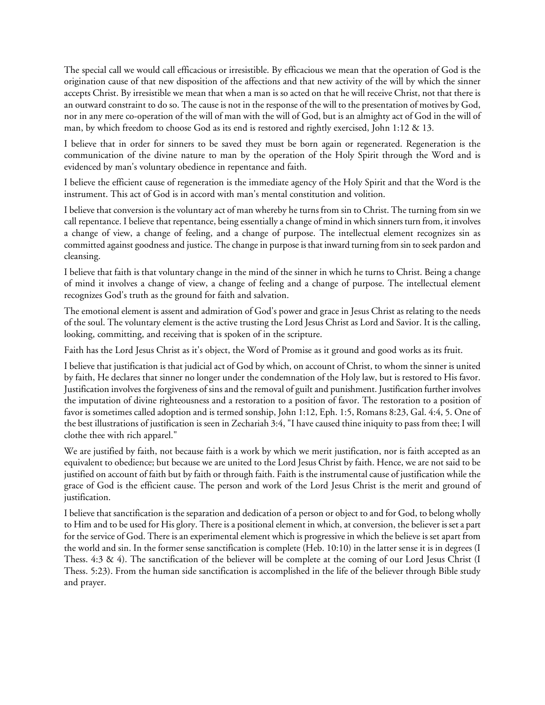The special call we would call efficacious or irresistible. By efficacious we mean that the operation of God is the origination cause of that new disposition of the affections and that new activity of the will by which the sinner accepts Christ. By irresistible we mean that when a man is so acted on that he will receive Christ, not that there is an outward constraint to do so. The cause is not in the response of the will to the presentation of motives by God, nor in any mere co-operation of the will of man with the will of God, but is an almighty act of God in the will of man, by which freedom to choose God as its end is restored and rightly exercised, John 1:12 & 13.

I believe that in order for sinners to be saved they must be born again or regenerated. Regeneration is the communication of the divine nature to man by the operation of the Holy Spirit through the Word and is evidenced by man's voluntary obedience in repentance and faith.

I believe the efficient cause of regeneration is the immediate agency of the Holy Spirit and that the Word is the instrument. This act of God is in accord with man's mental constitution and volition.

I believe that conversion is the voluntary act of man whereby he turns from sin to Christ. The turning from sin we call repentance. I believe that repentance, being essentially a change of mind in which sinners turn from, it involves a change of view, a change of feeling, and a change of purpose. The intellectual element recognizes sin as committed against goodness and justice. The change in purpose is that inward turning from sin to seek pardon and cleansing.

I believe that faith is that voluntary change in the mind of the sinner in which he turns to Christ. Being a change of mind it involves a change of view, a change of feeling and a change of purpose. The intellectual element recognizes God's truth as the ground for faith and salvation.

The emotional element is assent and admiration of God's power and grace in Jesus Christ as relating to the needs of the soul. The voluntary element is the active trusting the Lord Jesus Christ as Lord and Savior. It is the calling, looking, committing, and receiving that is spoken of in the scripture.

Faith has the Lord Jesus Christ as it's object, the Word of Promise as it ground and good works as its fruit.

I believe that justification is that judicial act of God by which, on account of Christ, to whom the sinner is united by faith, He declares that sinner no longer under the condemnation of the Holy law, but is restored to His favor. Justification involves the forgiveness of sins and the removal of guilt and punishment. Justification further involves the imputation of divine righteousness and a restoration to a position of favor. The restoration to a position of favor is sometimes called adoption and is termed sonship, John 1:12, Eph. 1:5, Romans 8:23, Gal. 4:4, 5. One of the best illustrations of justification is seen in Zechariah 3:4, "I have caused thine iniquity to pass from thee; I will clothe thee with rich apparel."

We are justified by faith, not because faith is a work by which we merit justification, nor is faith accepted as an equivalent to obedience; but because we are united to the Lord Jesus Christ by faith. Hence, we are not said to be justified on account of faith but by faith or through faith. Faith is the instrumental cause of justification while the grace of God is the efficient cause. The person and work of the Lord Jesus Christ is the merit and ground of justification.

I believe that sanctification is the separation and dedication of a person or object to and for God, to belong wholly to Him and to be used for His glory. There is a positional element in which, at conversion, the believer is set a part for the service of God. There is an experimental element which is progressive in which the believe is set apart from the world and sin. In the former sense sanctification is complete (Heb. 10:10) in the latter sense it is in degrees (I Thess. 4:3 & 4). The sanctification of the believer will be complete at the coming of our Lord Jesus Christ (I Thess. 5:23). From the human side sanctification is accomplished in the life of the believer through Bible study and prayer.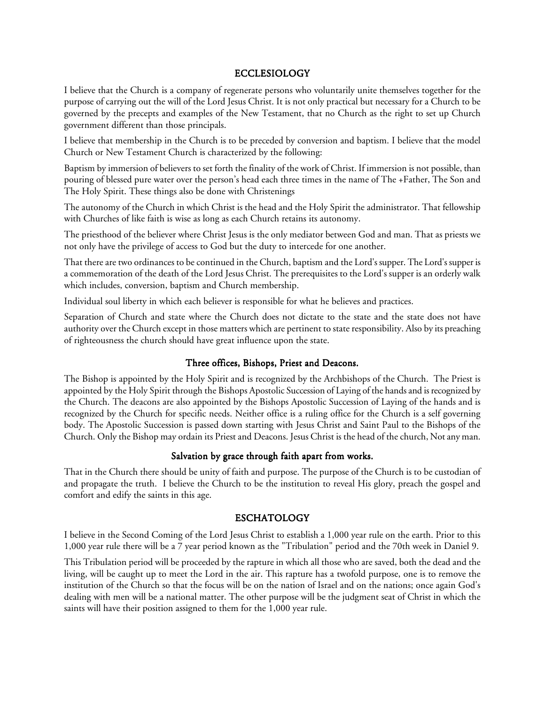#### ECCLESIOLOGY

I believe that the Church is a company of regenerate persons who voluntarily unite themselves together for the purpose of carrying out the will of the Lord Jesus Christ. It is not only practical but necessary for a Church to be governed by the precepts and examples of the New Testament, that no Church as the right to set up Church government different than those principals.

I believe that membership in the Church is to be preceded by conversion and baptism. I believe that the model Church or New Testament Church is characterized by the following:

Baptism by immersion of believers to set forth the finality of the work of Christ. If immersion is not possible, than pouring of blessed pure water over the person's head each three times in the name of The +Father, The Son and The Holy Spirit. These things also be done with Christenings

The autonomy of the Church in which Christ is the head and the Holy Spirit the administrator. That fellowship with Churches of like faith is wise as long as each Church retains its autonomy.

The priesthood of the believer where Christ Jesus is the only mediator between God and man. That as priests we not only have the privilege of access to God but the duty to intercede for one another.

That there are two ordinances to be continued in the Church, baptism and the Lord's supper. The Lord's supper is a commemoration of the death of the Lord Jesus Christ. The prerequisites to the Lord's supper is an orderly walk which includes, conversion, baptism and Church membership.

Individual soul liberty in which each believer is responsible for what he believes and practices.

Separation of Church and state where the Church does not dictate to the state and the state does not have authority over the Church except in those matters which are pertinent to state responsibility. Also by its preaching of righteousness the church should have great influence upon the state.

#### Three offices, Bishops, Priest and Deacons.

The Bishop is appointed by the Holy Spirit and is recognized by the Archbishops of the Church. The Priest is appointed by the Holy Spirit through the Bishops Apostolic Succession of Laying of the hands and is recognized by the Church. The deacons are also appointed by the Bishops Apostolic Succession of Laying of the hands and is recognized by the Church for specific needs. Neither office is a ruling office for the Church is a self governing body. The Apostolic Succession is passed down starting with Jesus Christ and Saint Paul to the Bishops of the Church. Only the Bishop may ordain its Priest and Deacons. Jesus Christ is the head of the church, Not any man.

#### Salvation by grace through faith apart from works.

That in the Church there should be unity of faith and purpose. The purpose of the Church is to be custodian of and propagate the truth. I believe the Church to be the institution to reveal His glory, preach the gospel and comfort and edify the saints in this age.

#### **ESCHATOLOGY**

I believe in the Second Coming of the Lord Jesus Christ to establish a 1,000 year rule on the earth. Prior to this 1,000 year rule there will be a 7 year period known as the "Tribulation" period and the 70th week in Daniel 9.

This Tribulation period will be proceeded by the rapture in which all those who are saved, both the dead and the living, will be caught up to meet the Lord in the air. This rapture has a twofold purpose, one is to remove the institution of the Church so that the focus will be on the nation of Israel and on the nations; once again God's dealing with men will be a national matter. The other purpose will be the judgment seat of Christ in which the saints will have their position assigned to them for the 1,000 year rule.